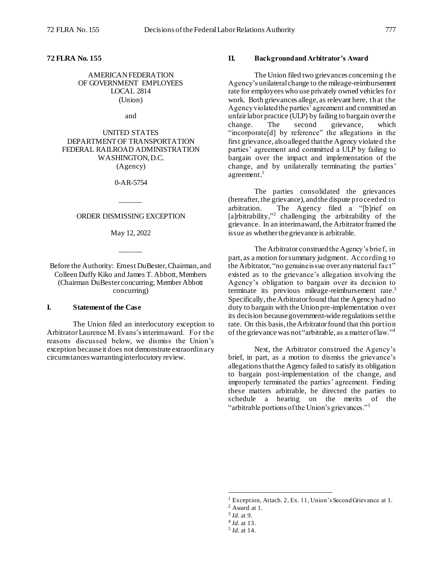**72 FLRA No. 155**

AMERICAN FEDERATION OF GOVERNMENT EMPLOYEES LOCAL 2814 (Union)

and

UNITED STATES DEPARTMENT OF TRANSPORTATION FEDERAL RAILROAD ADMINISTRATION WASHINGTON, D.C. (Agency)

0-AR-5754

\_\_\_\_\_\_

## ORDER DISMISSING EXCEPTION

May 12, 2022

\_\_\_\_\_\_

Before the Authority: Ernest DuBester, Chairman, and Colleen Duffy Kiko and James T. Abbott, Members (Chairman DuBester concurring; Member Abbott concurring)

## **I. Statement of the Case**

The Union filed an interlocutory exception to Arbitrator Laurence M. Evans's interim award. For the reasons discussed below, we dismiss the Union's exception because it does not demonstrate extraordinary circumstances warranting interlocutory review.

#### **II. Background and Arbitrator's Award**

The Union filed two grievances concerning the Agency's unilateral change to the mileage-reimbursement rate for employees who use privately owned vehicles for work. Both grievances allege, as relevant here, that the Agency violated the parties' agreement and committedan unfair labor practice (ULP) by failing to bargain over the change. The second grievance, which "incorporate<sup>[d]</sup> by reference" the allegations in the first grievance, also alleged that the Agency violated the parties' agreement and committed a ULP by failing to bargain over the impact and implementation of the change, and by unilaterally terminating the parties' agreement.<sup>1</sup>

The parties consolidated the grievances (hereafter, the grievance), and the dispute proceeded to arbitration. The Agency filed a "[b]rief on [a]rbitrability,"<sup>2</sup> challenging the arbitrability of the grievance. In an interim award, the Arbitrator framed the issue as whether the grievance is arbitrable.

The Arbitrator construed the Agency's brief, in part, as a motion for summary judgment. According to the Arbitrator, "no genuine issue over anymaterial fact" existed as to the grievance's allegation involving the Agency's obligation to bargain over its decision to terminate its previous mileage-reimbursement rate. 3 Specifically, the Arbitrator found that the Agency had no duty to bargain with the Union pre-implementation over its decision becausegovernment-wide regulations set the rate. On this basis, the Arbitrator found that this portion of the grievance was not "arbitrable, as a matter of law."<sup>4</sup>

Next, the Arbitrator construed the Agency's brief, in part, as a motion to dismiss the grievance's allegationsthat the Agency failed to satisfy its obligation to bargain post-implementation of the change, and improperly terminated the parties' agreement. Finding these matters arbitrable, he directed the parties to schedule a hearing on the merits of the "arbitrable portions of the Union's grievances."<sup>5</sup>

l

<sup>&</sup>lt;sup>1</sup> Exception, Attach. 2, Ex. 11, Union's Second Grievance at 1.

<sup>2</sup> Award at 1.

<sup>3</sup> *Id.* at 9.

<sup>4</sup> *Id.* at 13.

<sup>5</sup> *Id.* at 14.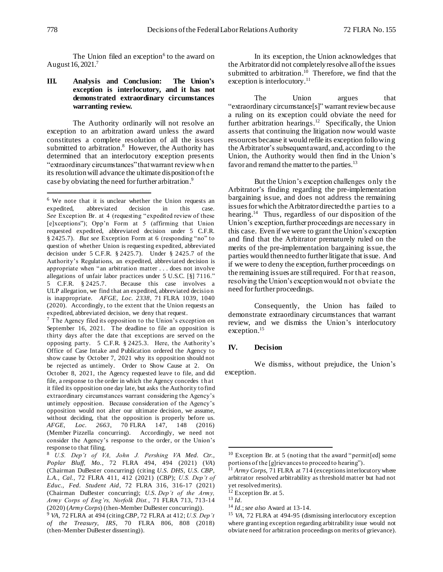The Union filed an exception<sup>6</sup> to the award on August 16, 2021.<sup>7</sup>

# **III. Analysis and Conclusion: The Union's exception is interlocutory, and it has not demonstrated extraordinary circumstances warranting review.**

The Authority ordinarily will not resolve an exception to an arbitration award unless the award constitutes a complete resolution of all the issues submitted to arbitration.<sup>8</sup> However, the Authority has determined that an interlocutory exception presents "extraordinary circumstances" that warrant review when its resolution will advance the ultimate disposition of the case by obviating the need for further arbitration.<sup>9</sup>

 $7$  The Agency filed its opposition to the Union's exception on September 16, 2021. The deadline to file an opposition is thirty days after the date that exceptions are served on the opposing party. 5 C.F.R. § 2425.3. Here, the Authority's Office of Case Intake and Publication ordered the Agency to show cause by October 7, 2021 why its opposition should not be rejected as untimely. Order to Show Cause at 2. On October 8, 2021, the Agency requested leave to file, and did file, a response to the order in which the Agency concedes t h at it filed its opposition one day late, but asks the Authority to find extraordinary circumstances warrant considering the Agency's untimely opposition. Because consideration of the Agency's opposition would not alter our ultimate decision, we assume, without deciding, that the opposition is properly before us. *AFGE, Loc. 2663*, 70 FLRA 147, 148 (2016) (Member Pizzella concurring). Accordingly, we need not consider the Agency's response to the order, or the Union's response to that filing.

In its exception, the Union acknowledges that the Arbitrator did not completely resolve all of the issues submitted to arbitration.<sup>10</sup> Therefore, we find that the exception is interlocutory.<sup>11</sup>

The Union argues that "extraordinary circumstance[s]" warrant review because a ruling on its exception could obviate the need for further arbitration hearings.<sup>12</sup> Specifically, the Union asserts that continuing the litigation now would waste resources because it would refile its exception following the Arbitrator's subsequent award, and, according to the Union, the Authority would then find in the Union's favor and remand the matter to the parties.<sup>13</sup>

But the Union's exception challenges only the Arbitrator's finding regarding the pre-implementation bargaining issue, and does not address the remaining issues for which the Arbitrator directed the parties to a hearing.<sup>14</sup> Thus, regardless of our disposition of the Union's exception, further proceedings are necessary in this case. Even if we were to grant the Union's exception and find that the Arbitrator prematurely ruled on the merits of the pre-implementation bargaining issue, the parties would then need to further litigate that issue. And if we were to deny the exception, further proceedings on the remaining issues are still required. For that reason, resolving the Union's exception would not obviate the need for further proceedings.

Consequently, the Union has failed to demonstrate extraordinary circumstances that warrant review, and we dismiss the Union's interlocutory exception.<sup>15</sup>

# **IV. Decision**

We dismiss, without prejudice, the Union's exception.

l

j

<sup>6</sup> We note that it is unclear whether the Union requests an expedited, abbreviated decision in this case. *See* Exception Br. at 4 (requesting "expedited review of these [e]xceptions"); Opp'n Form at 5 (affirming that Union requested expedited, abbreviated decision under 5 C.F.R. § 2425.7). *But see* Exception Form at 6 (responding "no" to question of whether Union is requesting expedited, abbreviated decision under 5 C.F.R. § 2425.7). Under § 2425.7 of the Authority's Regulations, an expedited, abbreviated decision is appropriate when "an arbitration matter . . . does not involve allegations of unfair labor practices under 5 U.S.C. [§] 7116." 5 C.F.R. § 2425.7. Because this case involves a ULP allegation, we find that an expedited, abbreviated decisio n is inappropriate. *AFGE, Loc. 2338*, 71 FLRA 1039, 1040 (2020). Accordingly, to the extent that the Union requests an expedited, abbreviated decision, we deny that request.

<sup>8</sup> *U.S. Dep't of VA, John J. Pershing VA Med. Ctr., Poplar Bluff, Mo.*, 72 FLRA 494, 494 (2021) (*VA*) (Chairman DuBester concurring) (citing *U.S. DHS, U.S. CBP, L.A., Cal.*, 72 FLRA 411, 412 (2021) (*CBP*); *U.S. Dep't of Educ., Fed. Student Aid*, 72 FLRA 316, 316-17 (2021) (Chairman DuBester concurring); *U.S. Dep't of the Army, Army Corps of Eng'rs, Norfolk Dist.*, 71 FLRA 713, 713-14 (2020) (*Army Corps*) (then-Member DuBester concurring)).

<sup>9</sup> *VA*, 72 FLRA at 494 (citing *CBP*, 72 FLRA at 412; *U.S. Dep't of the Treasury, IRS*, 70 FLRA 806, 808 (2018) (then-Member DuBester dissenting)).

<sup>10</sup> Exception Br. at 5 (noting that the award "permit[ed] some portions of the [g]rievances to proceed to hearing").

 $11$  *Army Corps*, 71 FLRA at 714 (exceptions interlocutory where arbitrator resolved arbitrability as threshold matter but had not yet resolved merits).

<sup>&</sup>lt;sup>12</sup> Exception Br. at 5.

<sup>13</sup> *Id.*

<sup>14</sup> *Id.*; *see also* Award at 13-14.

<sup>15</sup> *VA*, 72 FLRA at 494-95 (dismissing interlocutory exception where granting exception regarding arbitrability issue would not obviate need for arbitration proceedings on merits of grievance).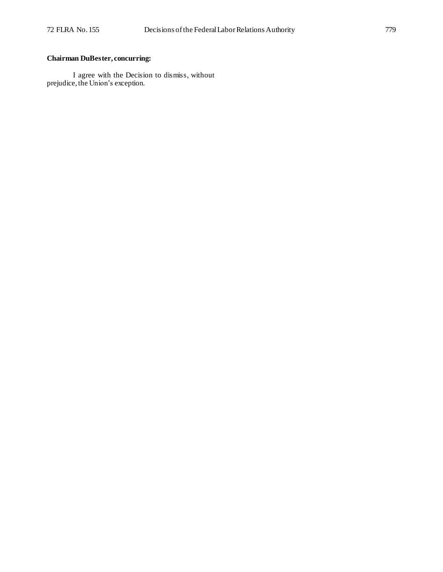# **Chairman DuBester, concurring:**

I agree with the Decision to dismiss, without prejudice, the Union's exception.